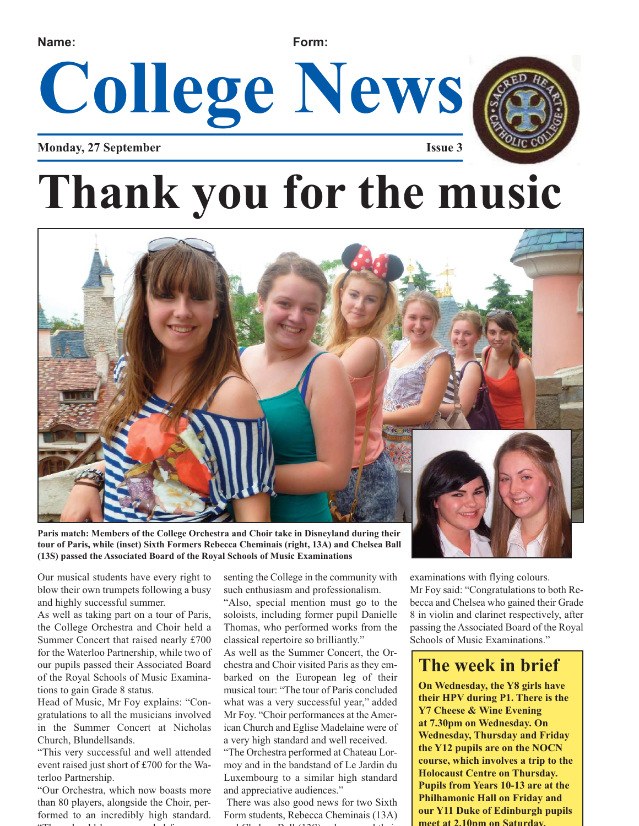#### **Name: Form:**

**College News**

**Monday, 27 September Issue 3**

## **Thank you for the music**



**Paris match: Members of the College Orchestra and Choir take in Disneyland during their tour of Paris, while (inset) Sixth Formers Rebecca Cheminais (right, 13A) and Chelsea Ball (13S) passed the Associated Board of the Royal Schools of Music Examinations**

Our musical students have every right to blow their own trumpets following a busy and highly successful summer.

As well as taking part on a tour of Paris, the College Orchestra and Choir held a Summer Concert that raised nearly £700 for the Waterloo Partnership, while two of our pupils passed their Associated Board of the Royal Schools of Music Examinations to gain Grade 8 status.

Head of Music, Mr Foy explains: "Congratulations to all the musicians involved in the Summer Concert at Nicholas Church, Blundellsands.

"This very successful and well attended event raised just short of £700 for the Waterloo Partnership.

"Our Orchestra, which now boasts more than 80 players, alongside the Choir, performed to an incredibly high standard. "Th h ld b d d f

senting the College in the community with such enthusiasm and professionalism.

"Also, special mention must go to the soloists, including former pupil Danielle Thomas, who performed works from the classical repertoire so brilliantly."

As well as the Summer Concert, the Orchestra and Choir visited Paris as they embarked on the European leg of their musical tour: "The tour of Paris concluded what was a very successful year," added Mr Foy. "Choir performances at the American Church and Eglise Madelaine were of a very high standard and well received.

"The Orchestra performed at Chateau Lormoy and in the bandstand of Le Jardin du Luxembourg to a similar high standard and appreciative audiences."

There was also good news for two Sixth Form students, Rebecca Cheminais (13A)  $1$  Ch i B li (13S)  $1$  d i d i

examinations with flying colours.

Mr Foy said: "Congratulations to both Rebecca and Chelsea who gained their Grade 8 in violin and clarinet respectively, after passing the Associated Board of the Royal Schools of Music Examinations."

### **The week in brief**

**On Wednesday, the Y8 girls have their HPV during P1. There is the Y7 Cheese & Wine Evening at 7.30pm on Wednesday. On Wednesday, Thursday and Friday the Y12 pupils are on the NOCN course, which involves a trip to the Holocaust Centre on Thursday. Pupils from Years 10-13 are at the Philhamonic Hall on Friday and our Y11 Duke of Edinburgh pupils meet at 2.10pm on Saturday.**